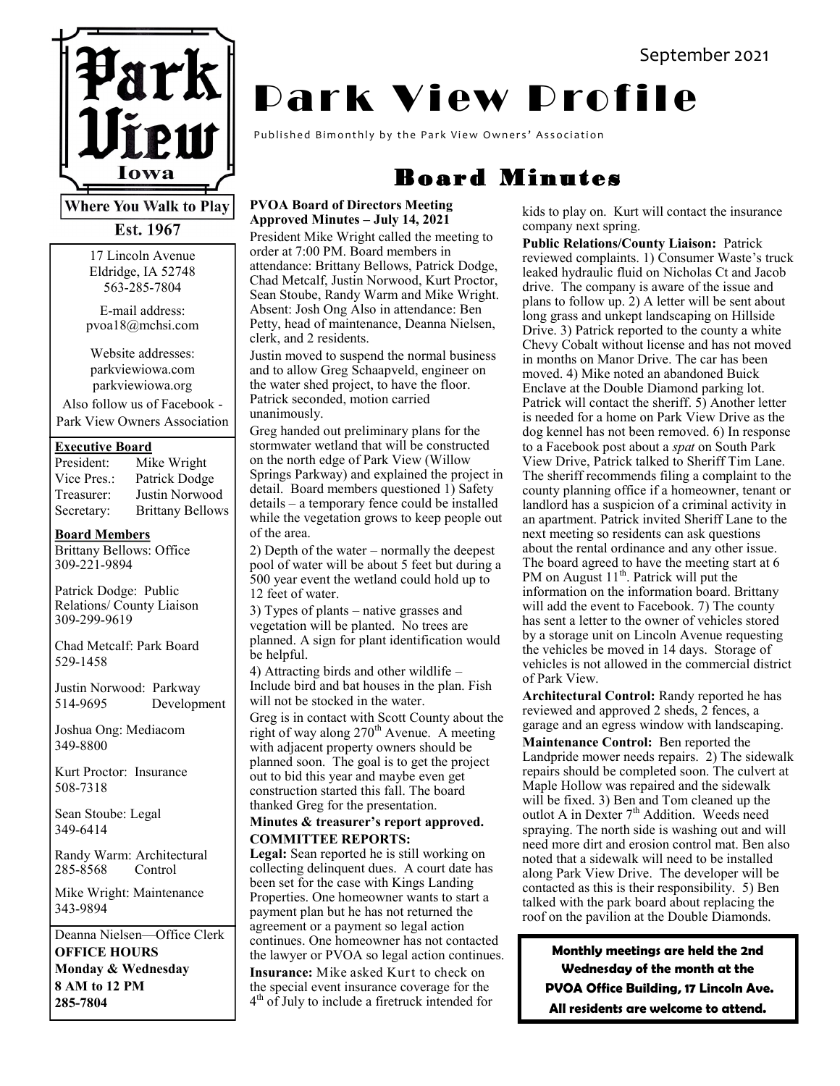

**Where You Walk to Play** Est. 1967

> 17 Lincoln Avenue Eldridge, IA 52748 563-285-7804

E-mail address: pvoa18@mchsi.com

Website addresses: parkviewiowa.com parkviewiowa.org

Also follow us of Facebook - Park View Owners Association

#### **Executive Board**

| President:  | Mike Wright             |
|-------------|-------------------------|
| Vice Pres.: | Patrick Dodge           |
| Treasurer:  | Justin Norwood          |
| Secretary:  | <b>Brittany Bellows</b> |

#### **Board Members**

Brittany Bellows: Office 309-221-9894

Patrick Dodge: Public Relations/ County Liaison 309-299-9619

Chad Metcalf: Park Board 529-1458

Justin Norwood: Parkway 514-9695 Development

Joshua Ong: Mediacom 349-8800

Kurt Proctor: Insurance 508-7318

Sean Stoube: Legal 349-6414

Randy Warm: Architectural 285-8568 Control

Mike Wright: Maintenance 343-9894

Deanna Nielsen—Office Clerk **OFFICE HOURS Monday & Wednesday 8 AM to 12 PM 285-7804**

# **Park View Profile**

Published Bimonthly by the Park View Owners' Association

# Board Minutes

#### **PVOA Board of Directors Meeting Approved Minutes – July 14, 2021**

President Mike Wright called the meeting to order at 7:00 PM. Board members in attendance: Brittany Bellows, Patrick Dodge, Chad Metcalf, Justin Norwood, Kurt Proctor, Sean Stoube, Randy Warm and Mike Wright. Absent: Josh Ong Also in attendance: Ben Petty, head of maintenance, Deanna Nielsen, clerk, and 2 residents.

Justin moved to suspend the normal business and to allow Greg Schaapveld, engineer on the water shed project, to have the floor. Patrick seconded, motion carried unanimously.

Greg handed out preliminary plans for the stormwater wetland that will be constructed on the north edge of Park View (Willow Springs Parkway) and explained the project in detail. Board members questioned 1) Safety details – a temporary fence could be installed while the vegetation grows to keep people out of the area.

2) Depth of the water – normally the deepest pool of water will be about 5 feet but during a 500 year event the wetland could hold up to 12 feet of water.

3) Types of plants – native grasses and vegetation will be planted. No trees are planned. A sign for plant identification would be helpful.

4) Attracting birds and other wildlife – Include bird and bat houses in the plan. Fish will not be stocked in the water. Greg is in contact with Scott County about the

right of way along 270<sup>th</sup> Avenue. A meeting with adjacent property owners should be planned soon. The goal is to get the project out to bid this year and maybe even get construction started this fall. The board thanked Greg for the presentation.

#### **Minutes & treasurer's report approved. COMMITTEE REPORTS:**

**Legal:** Sean reported he is still working on collecting delinquent dues. A court date has been set for the case with Kings Landing Properties. One homeowner wants to start a payment plan but he has not returned the agreement or a payment so legal action continues. One homeowner has not contacted the lawyer or PVOA so legal action continues. **Insurance:** Mike asked Kurt to check on the special event insurance coverage for the 4 th of July to include a firetruck intended for

kids to play on. Kurt will contact the insurance company next spring.

**Public Relations/County Liaison:** Patrick reviewed complaints. 1) Consumer Waste's truck leaked hydraulic fluid on Nicholas Ct and Jacob drive. The company is aware of the issue and plans to follow up. 2) A letter will be sent about long grass and unkept landscaping on Hillside Drive. 3) Patrick reported to the county a white Chevy Cobalt without license and has not moved in months on Manor Drive. The car has been moved. 4) Mike noted an abandoned Buick Enclave at the Double Diamond parking lot. Patrick will contact the sheriff. 5) Another letter is needed for a home on Park View Drive as the dog kennel has not been removed. 6) In response to a Facebook post about a *spat* on South Park View Drive, Patrick talked to Sheriff Tim Lane. The sheriff recommends filing a complaint to the county planning office if a homeowner, tenant or landlord has a suspicion of a criminal activity in an apartment. Patrick invited Sheriff Lane to the next meeting so residents can ask questions about the rental ordinance and any other issue. The board agreed to have the meeting start at 6 PM on August 11<sup>th</sup>. Patrick will put the information on the information board. Brittany will add the event to Facebook. 7) The county has sent a letter to the owner of vehicles stored by a storage unit on Lincoln Avenue requesting the vehicles be moved in 14 days. Storage of vehicles is not allowed in the commercial district of Park View.

**Architectural Control:** Randy reported he has reviewed and approved 2 sheds, 2 fences, a garage and an egress window with landscaping. **Maintenance Control:** Ben reported the Landpride mower needs repairs. 2) The sidewalk repairs should be completed soon. The culvert at Maple Hollow was repaired and the sidewalk will be fixed. 3) Ben and Tom cleaned up the outlot A in Dexter 7<sup>th</sup> Addition. Weeds need spraying. The north side is washing out and will need more dirt and erosion control mat. Ben also noted that a sidewalk will need to be installed along Park View Drive. The developer will be contacted as this is their responsibility. 5) Ben talked with the park board about replacing the roof on the pavilion at the Double Diamonds.

**Monthly meetings are held the 2nd Wednesday of the month at the PVOA Office Building, 17 Lincoln Ave. All residents are welcome to attend.**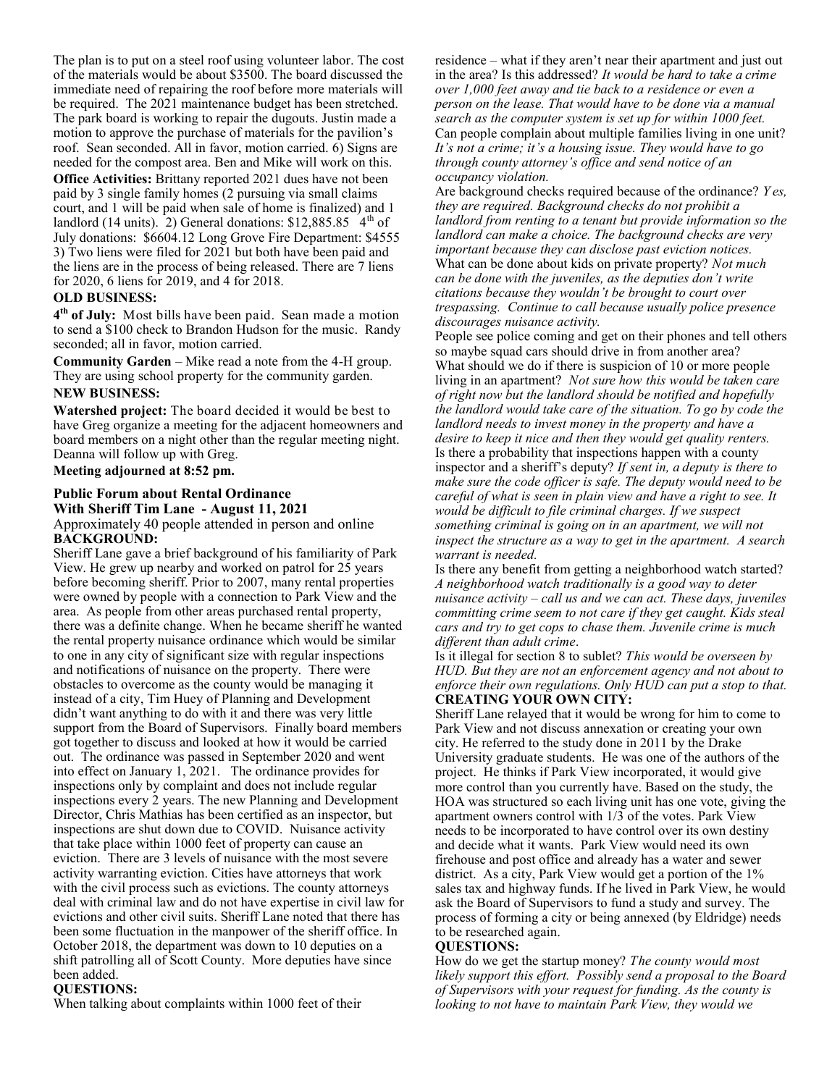The plan is to put on a steel roof using volunteer labor. The cost of the materials would be about \$3500. The board discussed the immediate need of repairing the roof before more materials will be required. The 2021 maintenance budget has been stretched. The park board is working to repair the dugouts. Justin made a motion to approve the purchase of materials for the pavilion's roof. Sean seconded. All in favor, motion carried. 6) Signs are needed for the compost area. Ben and Mike will work on this.

**Office Activities:** Brittany reported 2021 dues have not been paid by 3 single family homes (2 pursuing via small claims court, and 1 will be paid when sale of home is finalized) and 1 landlord (14 units). 2) General donations:  $$12,885.85$  4<sup>th</sup> of July donations: \$6604.12 Long Grove Fire Department: \$4555 3) Two liens were filed for 2021 but both have been paid and the liens are in the process of being released. There are 7 liens for 2020, 6 liens for 2019, and 4 for 2018.

#### **OLD BUSINESS:**

**4 th of July:** Most bills have been paid. Sean made a motion to send a \$100 check to Brandon Hudson for the music. Randy seconded; all in favor, motion carried.

**Community Garden** – Mike read a note from the 4-H group. They are using school property for the community garden.

#### **NEW BUSINESS:**

**Watershed project:** The board decided it would be best to have Greg organize a meeting for the adjacent homeowners and board members on a night other than the regular meeting night. Deanna will follow up with Greg.

#### **Meeting adjourned at 8:52 pm.**

#### **Public Forum about Rental Ordinance With Sheriff Tim Lane - August 11, 2021** Approximately 40 people attended in person and online **BACKGROUND:**

Sheriff Lane gave a brief background of his familiarity of Park View. He grew up nearby and worked on patrol for 25 years before becoming sheriff. Prior to 2007, many rental properties were owned by people with a connection to Park View and the area. As people from other areas purchased rental property, there was a definite change. When he became sheriff he wanted the rental property nuisance ordinance which would be similar to one in any city of significant size with regular inspections and notifications of nuisance on the property. There were obstacles to overcome as the county would be managing it instead of a city, Tim Huey of Planning and Development didn't want anything to do with it and there was very little support from the Board of Supervisors. Finally board members got together to discuss and looked at how it would be carried out. The ordinance was passed in September 2020 and went into effect on January 1, 2021. The ordinance provides for inspections only by complaint and does not include regular inspections every 2 years. The new Planning and Development Director, Chris Mathias has been certified as an inspector, but inspections are shut down due to COVID. Nuisance activity that take place within 1000 feet of property can cause an eviction. There are 3 levels of nuisance with the most severe activity warranting eviction. Cities have attorneys that work with the civil process such as evictions. The county attorneys deal with criminal law and do not have expertise in civil law for evictions and other civil suits. Sheriff Lane noted that there has been some fluctuation in the manpower of the sheriff office. In October 2018, the department was down to 10 deputies on a shift patrolling all of Scott County. More deputies have since been added.

#### **QUESTIONS:**

When talking about complaints within 1000 feet of their

residence – what if they aren't near their apartment and just out in the area? Is this addressed? *It would be hard to take a crime over 1,000 feet away and tie back to a residence or even a person on the lease. That would have to be done via a manual search as the computer system is set up for within 1000 feet.* Can people complain about multiple families living in one unit? *It's not a crime; it's a housing issue. They would have to go through county attorney's office and send notice of an occupancy violation.* 

Are background checks required because of the ordinance? *Y es, they are required. Background checks do not prohibit a landlord from renting to a tenant but provide information so the landlord can make a choice. The background checks are very important because they can disclose past eviction notices.*  What can be done about kids on private property? *Not much can be done with the juveniles, as the deputies don't write citations because they wouldn't be brought to court over trespassing. Continue to call because usually police presence discourages nuisance activity.* 

People see police coming and get on their phones and tell others so maybe squad cars should drive in from another area? What should we do if there is suspicion of 10 or more people living in an apartment? *Not sure how this would be taken care of right now but the landlord should be notified and hopefully the landlord would take care of the situation. To go by code the landlord needs to invest money in the property and have a desire to keep it nice and then they would get quality renters.* Is there a probability that inspections happen with a county inspector and a sheriff's deputy? *If sent in, a deputy is there to make sure the code officer is safe. The deputy would need to be careful of what is seen in plain view and have a right to see. It would be difficult to file criminal charges. If we suspect something criminal is going on in an apartment, we will not inspect the structure as a way to get in the apartment. A search warrant is needed.* 

Is there any benefit from getting a neighborhood watch started? *A neighborhood watch traditionally is a good way to deter nuisance activity – call us and we can act. These days, juveniles committing crime seem to not care if they get caught. Kids steal cars and try to get cops to chase them. Juvenile crime is much different than adult crime*.

Is it illegal for section 8 to sublet? *This would be overseen by HUD. But they are not an enforcement agency and not about to enforce their own regulations. Only HUD can put a stop to that.*  **CREATING YOUR OWN CITY:** 

Sheriff Lane relayed that it would be wrong for him to come to Park View and not discuss annexation or creating your own city. He referred to the study done in 2011 by the Drake University graduate students. He was one of the authors of the project. He thinks if Park View incorporated, it would give more control than you currently have. Based on the study, the HOA was structured so each living unit has one vote, giving the apartment owners control with 1/3 of the votes. Park View needs to be incorporated to have control over its own destiny and decide what it wants. Park View would need its own firehouse and post office and already has a water and sewer district. As a city, Park View would get a portion of the 1% sales tax and highway funds. If he lived in Park View, he would ask the Board of Supervisors to fund a study and survey. The process of forming a city or being annexed (by Eldridge) needs to be researched again.

#### **QUESTIONS:**

How do we get the startup money? *The county would most likely support this effort. Possibly send a proposal to the Board of Supervisors with your request for funding. As the county is looking to not have to maintain Park View, they would we*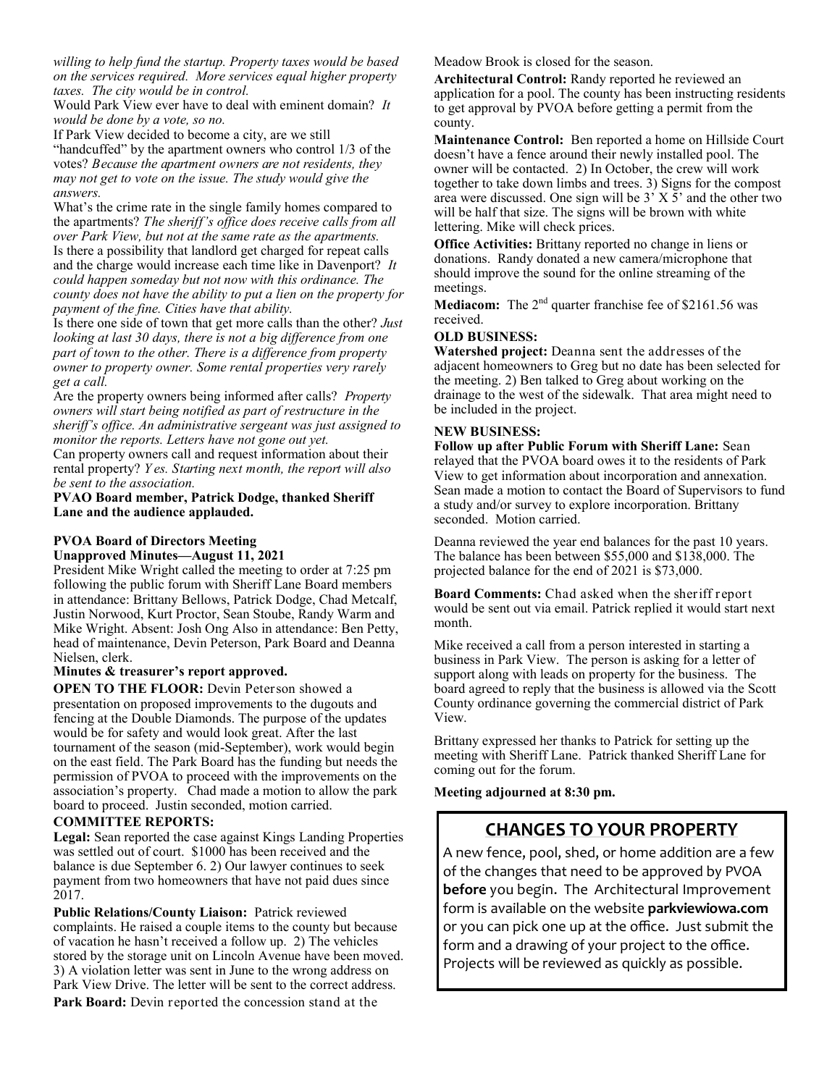*willing to help fund the startup. Property taxes would be based on the services required. More services equal higher property taxes. The city would be in control.* 

Would Park View ever have to deal with eminent domain? *It would be done by a vote, so no.*

If Park View decided to become a city, are we still "handcuffed" by the apartment owners who control 1/3 of the votes? *Because the apartment owners are not residents, they may not get to vote on the issue. The study would give the answers.* 

What's the crime rate in the single family homes compared to the apartments? *The sheriff's office does receive calls from all over Park View, but not at the same rate as the apartments.*  Is there a possibility that landlord get charged for repeat calls and the charge would increase each time like in Davenport? *It could happen someday but not now with this ordinance. The county does not have the ability to put a lien on the property for payment of the fine. Cities have that ability.* 

Is there one side of town that get more calls than the other? *Just looking at last 30 days, there is not a big difference from one part of town to the other. There is a difference from property owner to property owner. Some rental properties very rarely get a call.* 

Are the property owners being informed after calls? *Property owners will start being notified as part of restructure in the sheriff's office. An administrative sergeant was just assigned to monitor the reports. Letters have not gone out yet.* 

Can property owners call and request information about their rental property? *Y es. Starting next month, the report will also be sent to the association.* 

**PVAO Board member, Patrick Dodge, thanked Sheriff Lane and the audience applauded.** 

### **PVOA Board of Directors Meeting**

#### **Unapproved Minutes—August 11, 2021**

President Mike Wright called the meeting to order at 7:25 pm following the public forum with Sheriff Lane Board members in attendance: Brittany Bellows, Patrick Dodge, Chad Metcalf, Justin Norwood, Kurt Proctor, Sean Stoube, Randy Warm and Mike Wright. Absent: Josh Ong Also in attendance: Ben Petty, head of maintenance, Devin Peterson, Park Board and Deanna Nielsen, clerk.

#### **Minutes & treasurer's report approved.**

**OPEN TO THE FLOOR:** Devin Peterson showed a presentation on proposed improvements to the dugouts and fencing at the Double Diamonds. The purpose of the updates would be for safety and would look great. After the last tournament of the season (mid-September), work would begin on the east field. The Park Board has the funding but needs the permission of PVOA to proceed with the improvements on the association's property. Chad made a motion to allow the park board to proceed. Justin seconded, motion carried.

#### **COMMITTEE REPORTS:**

**Legal:** Sean reported the case against Kings Landing Properties was settled out of court. \$1000 has been received and the balance is due September 6. 2) Our lawyer continues to seek payment from two homeowners that have not paid dues since 2017.

**Public Relations/County Liaison:** Patrick reviewed complaints. He raised a couple items to the county but because of vacation he hasn't received a follow up. 2) The vehicles stored by the storage unit on Lincoln Avenue have been moved. 3) A violation letter was sent in June to the wrong address on Park View Drive. The letter will be sent to the correct address. **Park Board:** Devin reported the concession stand at the

Meadow Brook is closed for the season.

**Architectural Control:** Randy reported he reviewed an application for a pool. The county has been instructing residents to get approval by PVOA before getting a permit from the county.

**Maintenance Control:** Ben reported a home on Hillside Court doesn't have a fence around their newly installed pool. The owner will be contacted. 2) In October, the crew will work together to take down limbs and trees. 3) Signs for the compost area were discussed. One sign will be 3' X 5' and the other two will be half that size. The signs will be brown with white lettering. Mike will check prices.

**Office Activities:** Brittany reported no change in liens or donations. Randy donated a new camera/microphone that should improve the sound for the online streaming of the meetings.

**Mediacom:** The 2<sup>nd</sup> quarter franchise fee of \$2161.56 was received.

#### **OLD BUSINESS:**

**Watershed project:** Deanna sent the addresses of the adjacent homeowners to Greg but no date has been selected for the meeting. 2) Ben talked to Greg about working on the drainage to the west of the sidewalk. That area might need to be included in the project.

#### **NEW BUSINESS:**

**Follow up after Public Forum with Sheriff Lane:** Sean relayed that the PVOA board owes it to the residents of Park View to get information about incorporation and annexation. Sean made a motion to contact the Board of Supervisors to fund a study and/or survey to explore incorporation. Brittany seconded. Motion carried.

Deanna reviewed the year end balances for the past 10 years. The balance has been between \$55,000 and \$138,000. The projected balance for the end of 2021 is \$73,000.

**Board Comments:** Chad asked when the sheriff report would be sent out via email. Patrick replied it would start next month.

Mike received a call from a person interested in starting a business in Park View. The person is asking for a letter of support along with leads on property for the business. The board agreed to reply that the business is allowed via the Scott County ordinance governing the commercial district of Park View.

Brittany expressed her thanks to Patrick for setting up the meeting with Sheriff Lane. Patrick thanked Sheriff Lane for coming out for the forum.

**Meeting adjourned at 8:30 pm.**

## **CHANGES TO YOUR PROPERTY**

A new fence, pool, shed, or home addition are a few of the changes that need to be approved by PVOA **before** you begin. The Architectural Improvement form is available on the website **parkviewiowa.com** or you can pick one up at the office. Just submit the form and a drawing of your project to the office. Projects will be reviewed as quickly as possible.